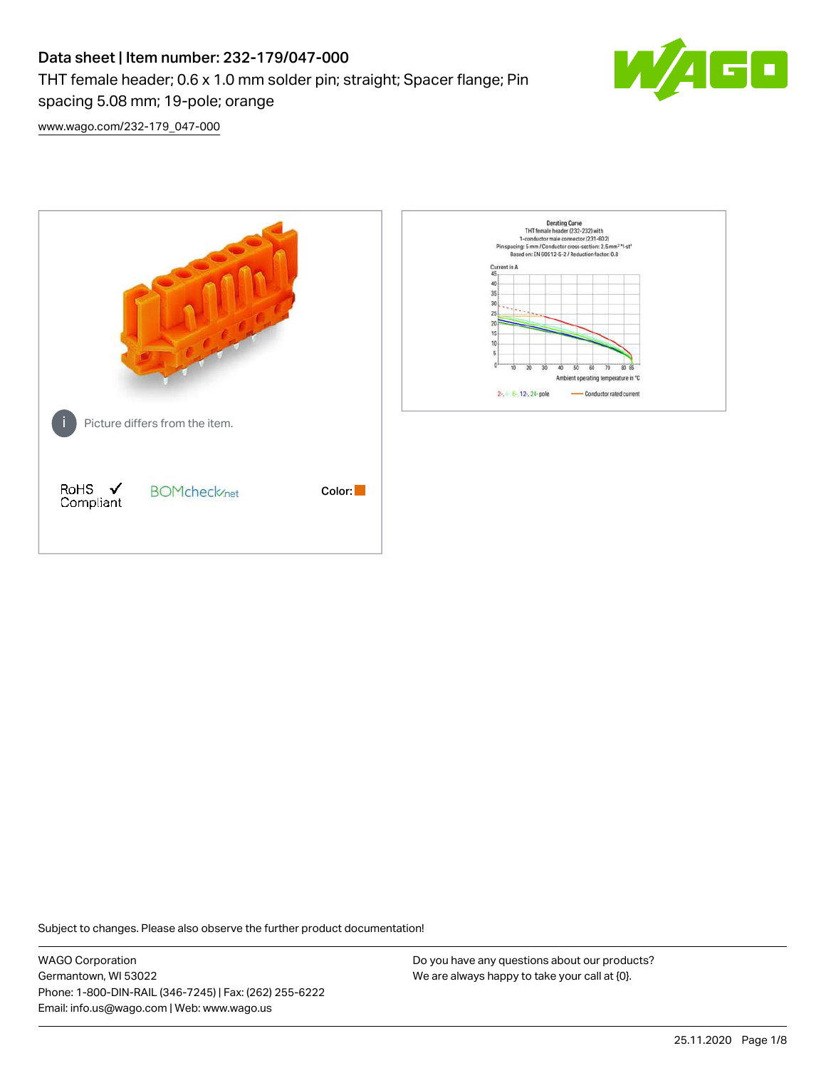# Data sheet | Item number: 232-179/047-000 THT female header; 0.6 x 1.0 mm solder pin; straight; Spacer flange; Pin spacing 5.08 mm; 19-pole; orange



[www.wago.com/232-179\\_047-000](http://www.wago.com/232-179_047-000)



Subject to changes. Please also observe the further product documentation!

WAGO Corporation Germantown, WI 53022 Phone: 1-800-DIN-RAIL (346-7245) | Fax: (262) 255-6222 Email: info.us@wago.com | Web: www.wago.us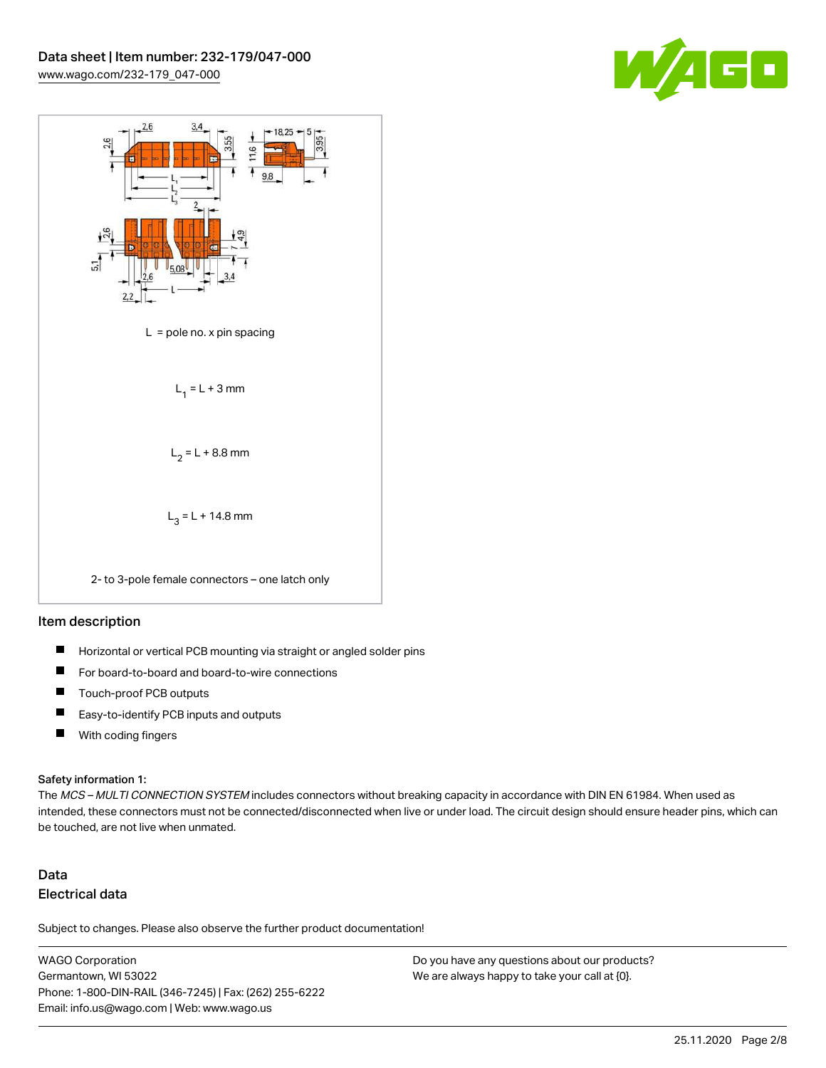



#### Item description

- $\blacksquare$ Horizontal or vertical PCB mounting via straight or angled solder pins
- П For board-to-board and board-to-wire connections
- $\blacksquare$ Touch-proof PCB outputs
- $\blacksquare$ Easy-to-identify PCB inputs and outputs
- $\blacksquare$ With coding fingers

#### Safety information 1:

The MCS - MULTI CONNECTION SYSTEM includes connectors without breaking capacity in accordance with DIN EN 61984. When used as intended, these connectors must not be connected/disconnected when live or under load. The circuit design should ensure header pins, which can be touched, are not live when unmated.

## Data Electrical data

Subject to changes. Please also observe the further product documentation!

WAGO Corporation Germantown, WI 53022 Phone: 1-800-DIN-RAIL (346-7245) | Fax: (262) 255-6222 Email: info.us@wago.com | Web: www.wago.us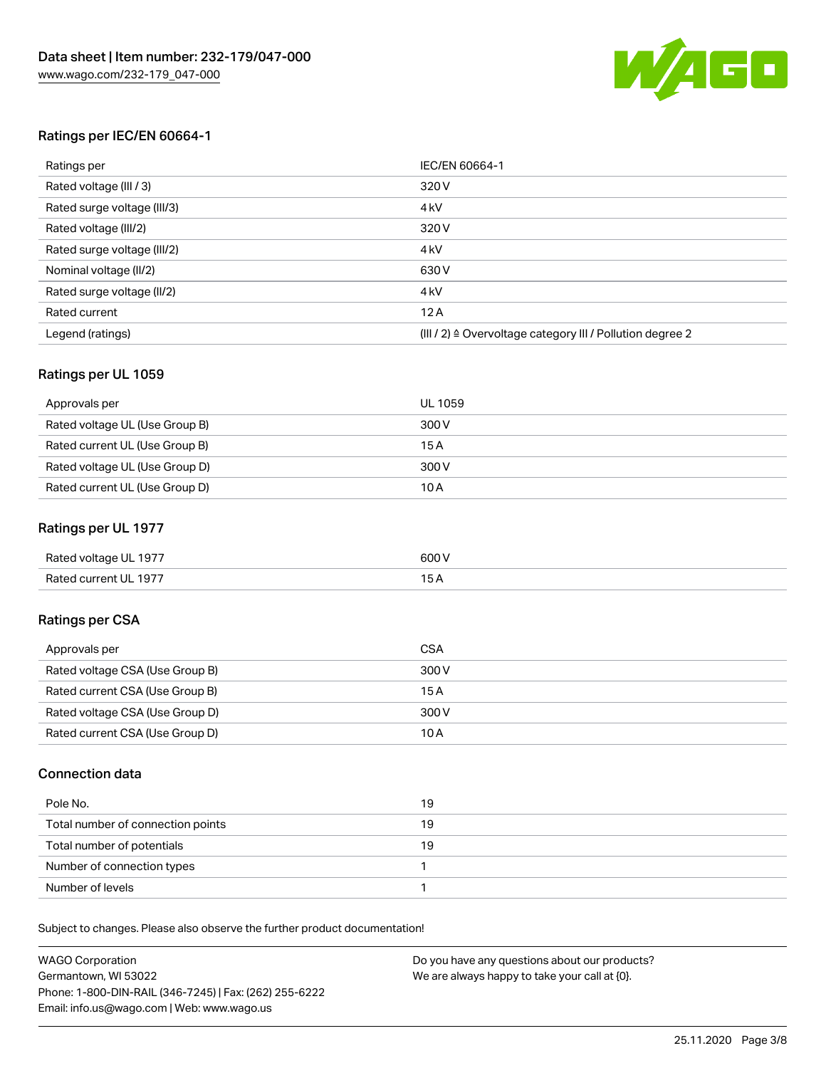

#### Ratings per IEC/EN 60664-1

| Ratings per                 | IEC/EN 60664-1                                                        |
|-----------------------------|-----------------------------------------------------------------------|
| Rated voltage (III / 3)     | 320 V                                                                 |
| Rated surge voltage (III/3) | 4 <sub>k</sub> V                                                      |
| Rated voltage (III/2)       | 320 V                                                                 |
| Rated surge voltage (III/2) | 4 <sub>k</sub> V                                                      |
| Nominal voltage (II/2)      | 630 V                                                                 |
| Rated surge voltage (II/2)  | 4 <sub>k</sub> V                                                      |
| Rated current               | 12A                                                                   |
| Legend (ratings)            | $(III / 2)$ $\triangle$ Overvoltage category III / Pollution degree 2 |

#### Ratings per UL 1059

| Approvals per                  | UL 1059 |
|--------------------------------|---------|
| Rated voltage UL (Use Group B) | 300 V   |
| Rated current UL (Use Group B) | 15 A    |
| Rated voltage UL (Use Group D) | 300 V   |
| Rated current UL (Use Group D) | 10A     |

#### Ratings per UL 1977

| Rated voltage UL 1977 | 600 <sup>V</sup><br>. |
|-----------------------|-----------------------|
| Rated current UL 1977 |                       |

### Ratings per CSA

| Approvals per                   | CSA   |
|---------------------------------|-------|
| Rated voltage CSA (Use Group B) | 300 V |
| Rated current CSA (Use Group B) | 15 A  |
| Rated voltage CSA (Use Group D) | 300 V |
| Rated current CSA (Use Group D) | 10 A  |

#### Connection data

| Pole No.                          | 19 |
|-----------------------------------|----|
| Total number of connection points | 19 |
| Total number of potentials        | 19 |
| Number of connection types        |    |
| Number of levels                  |    |

Subject to changes. Please also observe the further product documentation!

| <b>WAGO Corporation</b>                                | Do you have any questions about our products? |
|--------------------------------------------------------|-----------------------------------------------|
| Germantown, WI 53022                                   | We are always happy to take your call at {0}. |
| Phone: 1-800-DIN-RAIL (346-7245)   Fax: (262) 255-6222 |                                               |
| Email: info.us@wago.com   Web: www.wago.us             |                                               |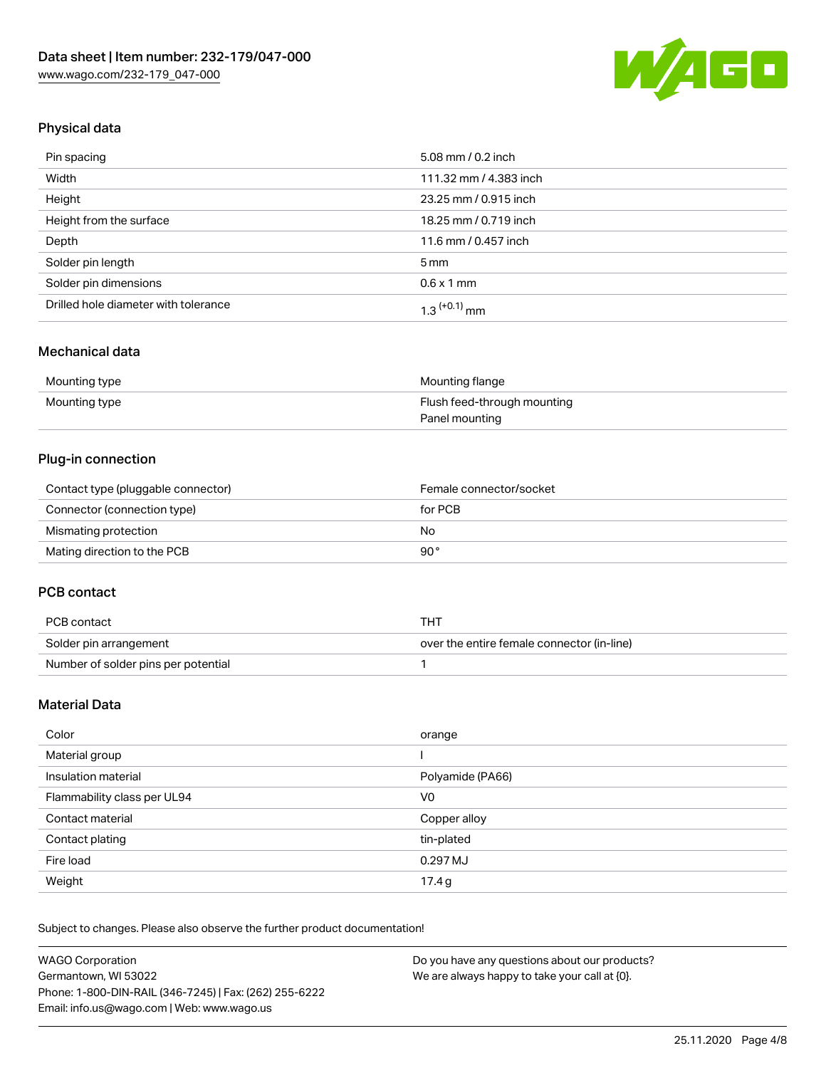

## Physical data

| Pin spacing                          | 5.08 mm / 0.2 inch     |
|--------------------------------------|------------------------|
| Width                                | 111.32 mm / 4.383 inch |
| Height                               | 23.25 mm / 0.915 inch  |
| Height from the surface              | 18.25 mm / 0.719 inch  |
| Depth                                | 11.6 mm / 0.457 inch   |
| Solder pin length                    | $5 \,\mathrm{mm}$      |
| Solder pin dimensions                | $0.6 \times 1$ mm      |
| Drilled hole diameter with tolerance | $1.3$ $(+0.1)$ mm      |

### Mechanical data

| Mounting type | Mounting flange             |
|---------------|-----------------------------|
| Mounting type | Flush feed-through mounting |
|               | Panel mounting              |

## Plug-in connection

| Contact type (pluggable connector) | Female connector/socket |
|------------------------------------|-------------------------|
| Connector (connection type)        | for PCB                 |
| Mismating protection               | No                      |
| Mating direction to the PCB        | 90°                     |

#### PCB contact

| PCB contact                         | THT                                        |
|-------------------------------------|--------------------------------------------|
| Solder pin arrangement              | over the entire female connector (in-line) |
| Number of solder pins per potential |                                            |

## Material Data

| Color                       | orange           |
|-----------------------------|------------------|
| Material group              |                  |
| Insulation material         | Polyamide (PA66) |
| Flammability class per UL94 | V0               |
| Contact material            | Copper alloy     |
| Contact plating             | tin-plated       |
| Fire load                   | 0.297 MJ         |
| Weight                      | 17.4g            |

Subject to changes. Please also observe the further product documentation!

| <b>WAGO Corporation</b>                                | Do you have any questions about our products? |
|--------------------------------------------------------|-----------------------------------------------|
| Germantown, WI 53022                                   | We are always happy to take your call at {0}. |
| Phone: 1-800-DIN-RAIL (346-7245)   Fax: (262) 255-6222 |                                               |
| Email: info.us@wago.com   Web: www.wago.us             |                                               |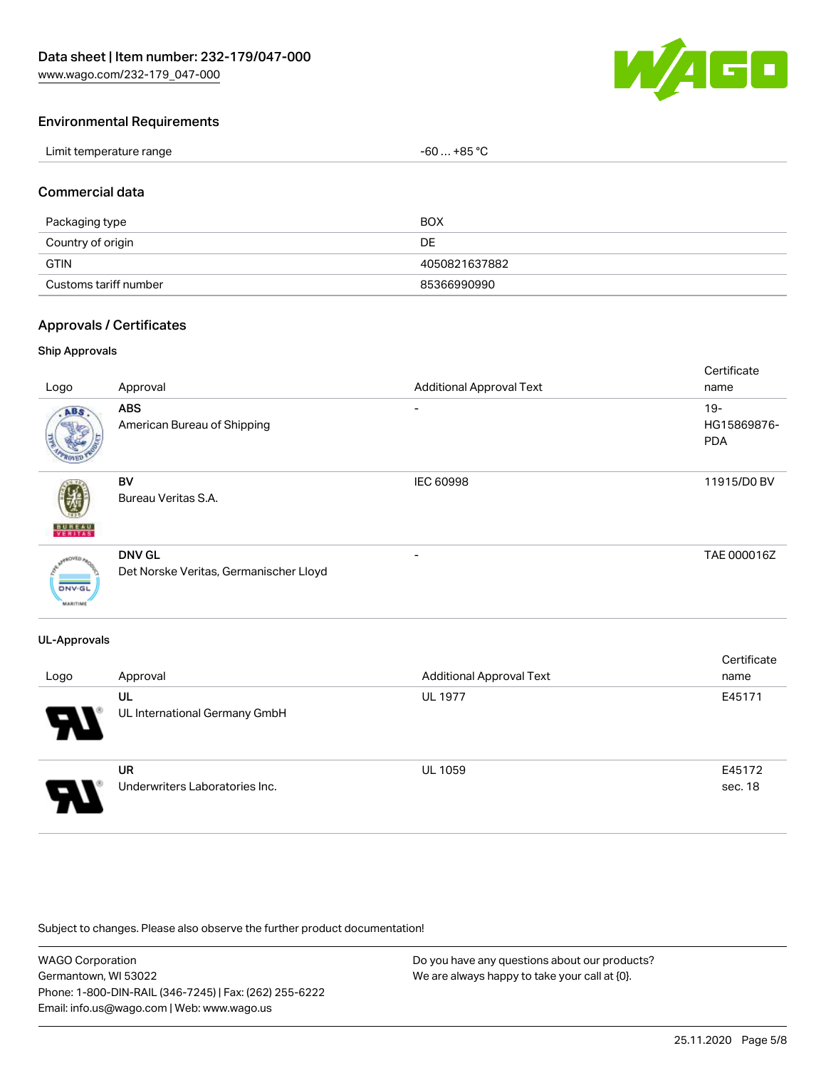[www.wago.com/232-179\\_047-000](http://www.wago.com/232-179_047-000)



#### Environmental Requirements

| Limit temperature range | $-60+85 °C$ |
|-------------------------|-------------|
|-------------------------|-------------|

#### Commercial data

| Packaging type        | <b>BOX</b>    |
|-----------------------|---------------|
| Country of origin     | DE            |
| GTIN                  | 4050821637882 |
| Customs tariff number | 85366990990   |

#### Approvals / Certificates

#### Ship Approvals

| Logo                             | Approval                                                | <b>Additional Approval Text</b> | Certificate<br>name                 |
|----------------------------------|---------------------------------------------------------|---------------------------------|-------------------------------------|
| ABS                              | <b>ABS</b><br>American Bureau of Shipping               | $\overline{\phantom{a}}$        | $19 -$<br>HG15869876-<br><b>PDA</b> |
| <b>BUREAU</b>                    | <b>BV</b><br>Bureau Veritas S.A.                        | <b>IEC 60998</b>                | 11915/D0 BV                         |
| <b>DNV-GL</b><br><b>MARITIME</b> | <b>DNV GL</b><br>Det Norske Veritas, Germanischer Lloyd |                                 | TAE 000016Z                         |

#### UL-Approvals

| Logo                  | Approval                                    | <b>Additional Approval Text</b> | Certificate<br>name |
|-----------------------|---------------------------------------------|---------------------------------|---------------------|
| $\boldsymbol{\theta}$ | UL<br>UL International Germany GmbH         | <b>UL 1977</b>                  | E45171              |
| 8                     | <b>UR</b><br>Underwriters Laboratories Inc. | <b>UL 1059</b>                  | E45172<br>sec. 18   |

Subject to changes. Please also observe the further product documentation!

WAGO Corporation Germantown, WI 53022 Phone: 1-800-DIN-RAIL (346-7245) | Fax: (262) 255-6222 Email: info.us@wago.com | Web: www.wago.us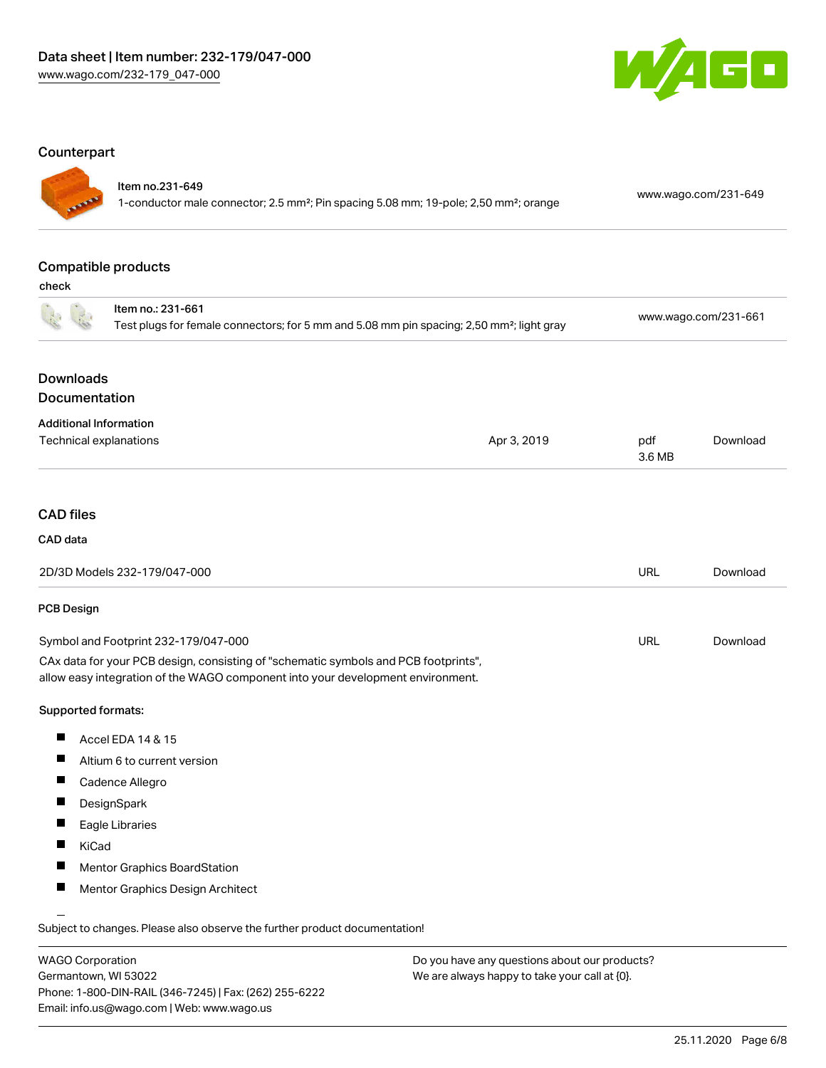

#### **Counterpart**

| ٠ |
|---|
|   |

## Item no.231-649

1-conductor male connector; 2.5 mm²; Pin spacing 5.08 mm; 19-pole; 2,50 mm²; orange [www.wago.com/231-649](https://www.wago.com/231-649)

## Compatible products

check

|                                                         | Item no.: 231-661<br>Test plugs for female connectors; for 5 mm and 5.08 mm pin spacing; 2,50 mm <sup>2</sup> ; light gray                                             |             |               | www.wago.com/231-661 |
|---------------------------------------------------------|------------------------------------------------------------------------------------------------------------------------------------------------------------------------|-------------|---------------|----------------------|
| <b>Downloads</b><br>Documentation                       |                                                                                                                                                                        |             |               |                      |
|                                                         |                                                                                                                                                                        |             |               |                      |
| <b>Additional Information</b><br>Technical explanations |                                                                                                                                                                        | Apr 3, 2019 | pdf<br>3.6 MB | Download             |
| <b>CAD files</b>                                        |                                                                                                                                                                        |             |               |                      |
| CAD data                                                |                                                                                                                                                                        |             |               |                      |
|                                                         | 2D/3D Models 232-179/047-000                                                                                                                                           |             | <b>URL</b>    | Download             |
| <b>PCB Design</b>                                       |                                                                                                                                                                        |             |               |                      |
|                                                         | Symbol and Footprint 232-179/047-000                                                                                                                                   |             | <b>URL</b>    | Download             |
|                                                         | CAx data for your PCB design, consisting of "schematic symbols and PCB footprints",<br>allow easy integration of the WAGO component into your development environment. |             |               |                      |
| Supported formats:                                      |                                                                                                                                                                        |             |               |                      |
| Ш                                                       | Accel EDA 14 & 15                                                                                                                                                      |             |               |                      |
| ш                                                       | Altium 6 to current version                                                                                                                                            |             |               |                      |
| ш                                                       | Cadence Allegro                                                                                                                                                        |             |               |                      |
| ш                                                       | DesignSpark                                                                                                                                                            |             |               |                      |
| ш                                                       | Eagle Libraries                                                                                                                                                        |             |               |                      |
| Ш<br>KiCad                                              |                                                                                                                                                                        |             |               |                      |
| ш                                                       | <b>Mentor Graphics BoardStation</b>                                                                                                                                    |             |               |                      |
| Ц                                                       | Mentor Graphics Design Architect                                                                                                                                       |             |               |                      |
|                                                         | Subject to changes. Please also observe the further product documentation!                                                                                             |             |               |                      |

WAGO Corporation Germantown, WI 53022 Phone: 1-800-DIN-RAIL (346-7245) | Fax: (262) 255-6222 Email: info.us@wago.com | Web: www.wago.us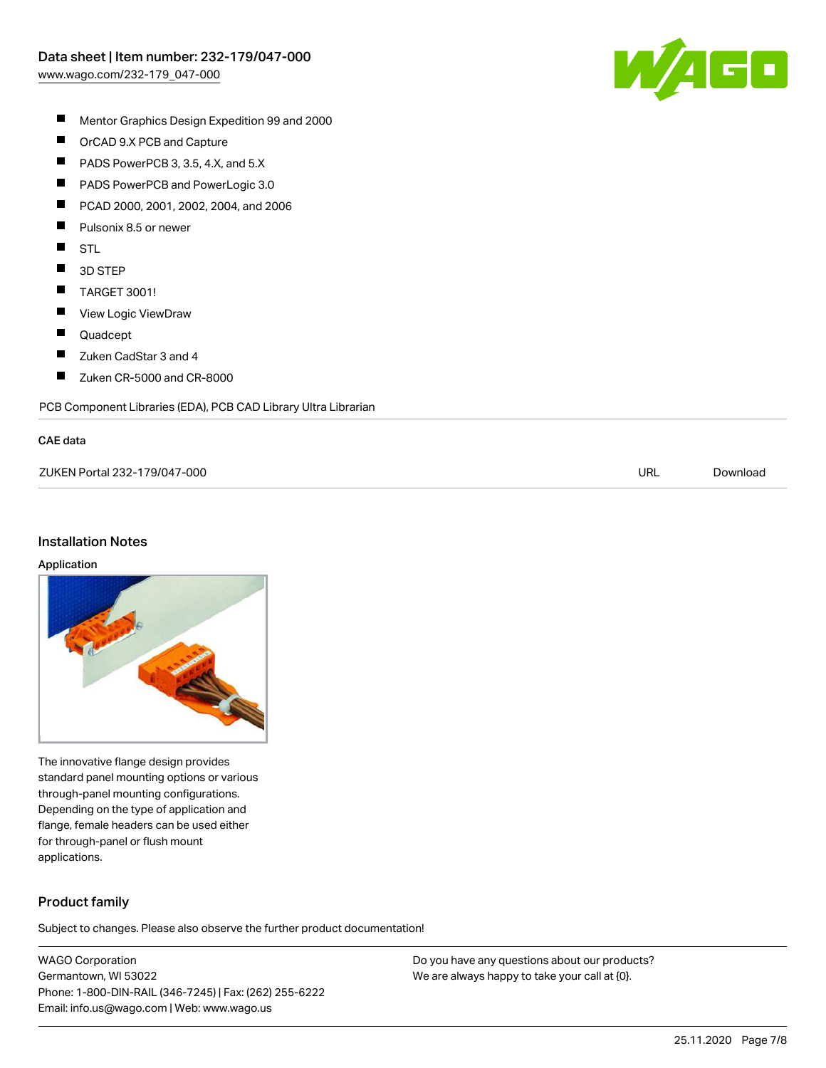

- $\blacksquare$ Mentor Graphics Design Expedition 99 and 2000
- $\blacksquare$ OrCAD 9.X PCB and Capture
- $\blacksquare$ PADS PowerPCB 3, 3.5, 4.X, and 5.X
- $\blacksquare$ PADS PowerPCB and PowerLogic 3.0
- $\blacksquare$ PCAD 2000, 2001, 2002, 2004, and 2006
- $\blacksquare$ Pulsonix 8.5 or newer
- $\blacksquare$ STL
- $\blacksquare$ 3D STEP
- $\blacksquare$ TARGET 3001!
- $\blacksquare$ View Logic ViewDraw
- $\blacksquare$ Quadcept
- $\blacksquare$ Zuken CadStar 3 and 4
- $\blacksquare$ Zuken CR-5000 and CR-8000

PCB Component Libraries (EDA), PCB CAD Library Ultra Librarian

#### CAE data

| ZUKEN Portal 232-179/047-000 | URL | Download |
|------------------------------|-----|----------|
|                              |     |          |

#### Installation Notes

#### Application



The innovative flange design provides standard panel mounting options or various through-panel mounting configurations. Depending on the type of application and flange, female headers can be used either for through-panel or flush mount applications.

## Product family

Subject to changes. Please also observe the further product documentation!

WAGO Corporation Germantown, WI 53022 Phone: 1-800-DIN-RAIL (346-7245) | Fax: (262) 255-6222 Email: info.us@wago.com | Web: www.wago.us